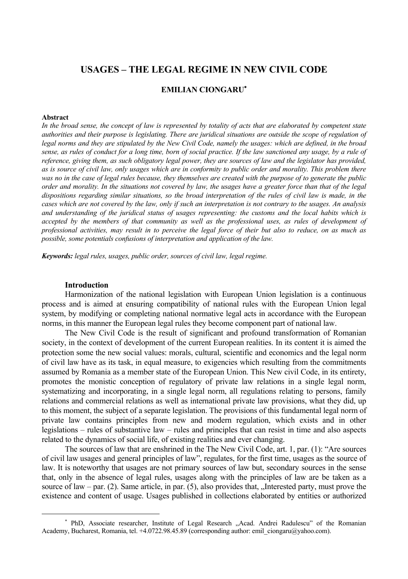# **USAGES – THE LEGAL REGIME IN NEW CIVIL CODE**

## **EMILIAN CIONGARU**<sup>∗</sup>

#### **Abstract**

In the broad sense, the concept of law is represented by totality of acts that are elaborated by competent state *authorities and their purpose is legislating. There are juridical situations are outside the scope of regulation of legal norms and they are stipulated by the New Civil Code, namely the usages: which are defined, in the broad sense, as rules of conduct for a long time, born of social practice. If the law sanctioned any usage, by a rule of reference, giving them, as such obligatory legal power, they are sources of law and the legislator has provided, as is source of civil law, only usages which are in conformity to public order and morality. This problem there was no in the case of legal rules because, they themselves are created with the purpose of to generate the public order and morality. In the situations not covered by law, the usages have a greater force than that of the legal dispositions regarding similar situations, so the broad interpretation of the rules of civil law is made, in the cases which are not covered by the law, only if such an interpretation is not contrary to the usages. An analysis and understanding of the juridical status of usages representing: the customs and the local habits which is accepted by the members of that community as well as the professional uses, as rules of development of professional activities, may result in to perceive the legal force of their but also to reduce, on as much as possible, some potentials confusions of interpretation and application of the law.* 

*Keywords: legal rules, usages, public order, sources of civil law, legal regime.* 

### **Introduction**

 $\overline{a}$ 

Harmonization of the national legislation with European Union legislation is a continuous process and is aimed at ensuring compatibility of national rules with the European Union legal system, by modifying or completing national normative legal acts in accordance with the European norms, in this manner the European legal rules they become component part of national law.

The New Civil Code is the result of significant and profound transformation of Romanian society, in the context of development of the current European realities. In its content it is aimed the protection some the new social values: morals, cultural, scientific and economics and the legal norm of civil law have as its task, in equal measure, to exigencies which resulting from the commitments assumed by Romania as a member state of the European Union. This New civil Code, in its entirety, promotes the monistic conception of regulatory of private law relations in a single legal norm, systematizing and incorporating, in a single legal norm, all regulations relating to persons, family relations and commercial relations as well as international private law provisions, what they did, up to this moment, the subject of a separate legislation. The provisions of this fundamental legal norm of private law contains principles from new and modern regulation, which exists and in other legislations – rules of substantive law – rules and principles that can resist in time and also aspects related to the dynamics of social life, of existing realities and ever changing.

The sources of law that are enshrined in the The New Civil Code, art. 1, par. (1): "Are sources of civil law usages and general principles of law", regulates, for the first time, usages as the source of law. It is noteworthy that usages are not primary sources of law but, secondary sources in the sense that, only in the absence of legal rules, usages along with the principles of law are be taken as a source of law – par.  $(2)$ . Same article, in par.  $(5)$ , also provides that, "Interested party, must prove the existence and content of usage. Usages published in collections elaborated by entities or authorized

<sup>∗</sup> PhD, Associate researcher, Institute of Legal Research ,,Acad. Andrei Radulescu" of the Romanian Academy, Bucharest, Romania, tel. +4.0722.98.45.89 (corresponding author: emil\_ciongaru@yahoo.com).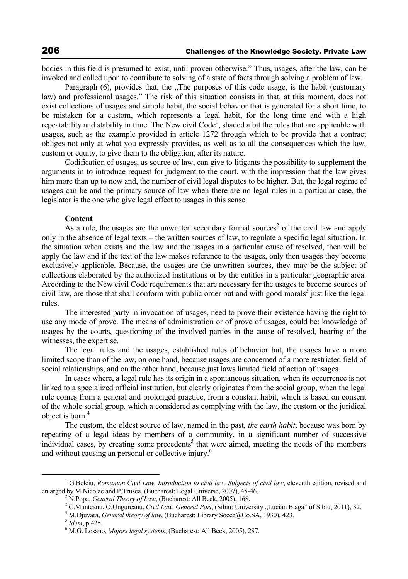bodies in this field is presumed to exist, until proven otherwise." Thus, usages, after the law, can be invoked and called upon to contribute to solving of a state of facts through solving a problem of law.

Paragraph  $(6)$ , provides that, the  $\sqrt{2}$ . The purposes of this code usage, is the habit (customary law) and professional usages." The risk of this situation consists in that, at this moment, does not exist collections of usages and simple habit, the social behavior that is generated for a short time, to be mistaken for a custom, which represents a legal habit, for the long time and with a high repeatability and stability in time. The New civil Code<sup>1</sup>, shaded a bit the rules that are applicable with usages, such as the example provided in article 1272 through which to be provide that a contract obliges not only at what you expressly provides, as well as to all the consequences which the law, custom or equity, to give them to the obligation, after its nature.

Codification of usages, as source of law, can give to litigants the possibility to supplement the arguments in to introduce request for judgment to the court, with the impression that the law gives him more than up to now and, the number of civil legal disputes to be higher. But, the legal regime of usages can be and the primary source of law when there are no legal rules in a particular case, the legislator is the one who give legal effect to usages in this sense.

#### **Content**

As a rule, the usages are the unwritten secondary formal sources<sup>2</sup> of the civil law and apply only in the absence of legal texts – the written sources of law, to regulate a specific legal situation. In the situation when exists and the law and the usages in a particular cause of resolved, then will be apply the law and if the text of the law makes reference to the usages, only then usages they become exclusively applicable. Because, the usages are the unwritten sources, they may be the subject of collections elaborated by the authorized institutions or by the entities in a particular geographic area. According to the New civil Code requirements that are necessary for the usages to become sources of civil law, are those that shall conform with public order but and with good morals<sup>3</sup> just like the legal rules.

The interested party in invocation of usages, need to prove their existence having the right to use any mode of prove. The means of administration or of prove of usages, could be: knowledge of usages by the courts, questioning of the involved parties in the cause of resolved, hearing of the witnesses, the expertise.

The legal rules and the usages, established rules of behavior but, the usages have a more limited scope than of the law, on one hand, because usages are concerned of a more restricted field of social relationships, and on the other hand, because just laws limited field of action of usages.

In cases where, a legal rule has its origin in a spontaneous situation, when its occurrence is not linked to a specialized official institution, but clearly originates from the social group, when the legal rule comes from a general and prolonged practice, from a constant habit, which is based on consent of the whole social group, which a considered as complying with the law, the custom or the juridical object is born.4

The custom, the oldest source of law, named in the past, *the earth habit*, because was born by repeating of a legal ideas by members of a community, in a significant number of successive individual cases, by creating some precedents<sup>5</sup> that were aimed, meeting the needs of the members and without causing an personal or collective injury.6

 $\frac{1}{1}$  G.Beleiu, *Romanian Civil Law. Introduction to civil law. Subjects of civil law*, eleventh edition, revised and enlarged by M.Nicolae and P.Trusca, (Bucharest: Legal Universe, 2007), 45-46. 2

<sup>&</sup>lt;sup>2</sup> N.Popa, *General Theory of Law*, *(Bucharest: All Beck, 2005), 168.* 

<sup>&</sup>lt;sup>3</sup> C.Munteanu, O.Ungureanu, *Civil Law. General Part*, (Sibiu: University "Lucian Blaga" of Sibiu, 2011), 32.

<sup>&</sup>lt;sup>4</sup> M.Djuvara, *General theory of law*, (Bucharest: Library Socec@Co.SA, 1930), 423. 5 *Idem*, p.425.

M.G. Losano, *Majors legal systems*, (Bucharest: All Beck, 2005), 287.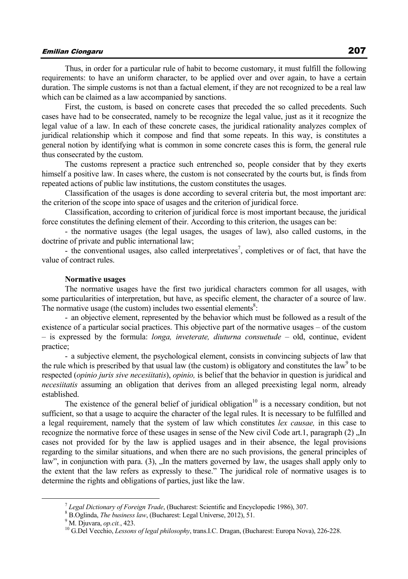# Emilian Ciongaru 207

Thus, in order for a particular rule of habit to become customary, it must fulfill the following requirements: to have an uniform character, to be applied over and over again, to have a certain duration. The simple customs is not than a factual element, if they are not recognized to be a real law which can be claimed as a law accompanied by sanctions.

First, the custom, is based on concrete cases that preceded the so called precedents. Such cases have had to be consecrated, namely to be recognize the legal value, just as it it recognize the legal value of a law. In each of these concrete cases, the juridical rationality analyzes complex of juridical relationship which it compose and find that some repeats. In this way, is constitutes a general notion by identifying what is common in some concrete cases this is form, the general rule thus consecrated by the custom.

The customs represent a practice such entrenched so, people consider that by they exerts himself a positive law. In cases where, the custom is not consecrated by the courts but, is finds from repeated actions of public law institutions, the custom constitutes the usages.

Classification of the usages is done according to several criteria but, the most important are: the criterion of the scope into space of usages and the criterion of juridical force.

Classification, according to criterion of juridical force is most important because, the juridical force constitutes the defining element of their. According to this criterion, the usages can be:

- the normative usages (the legal usages, the usages of law), also called customs, in the doctrine of private and public international law;

- the conventional usages, also called interpretatives<sup>7</sup>, completives or of fact, that have the value of contract rules.

#### **Normative usages**

The normative usages have the first two juridical characters common for all usages, with some particularities of interpretation, but have, as specific element, the character of a source of law. The normative usage (the custom) includes two essential elements<sup>8</sup>:

- an objective element, represented by the behavior which must be followed as a result of the existence of a particular social practices. This objective part of the normative usages – of the custom – is expressed by the formula: *longa, inveterate, diuturna consuetude* – old, continue, evident practice;

- a subjective element, the psychological element, consists in convincing subjects of law that the rule which is prescribed by that usual law (the custom) is obligatory and constitutes the law $\degree$  to be respected (*opinio juris sive necesiitatis*), *opinio,* is belief that the behavior in question is juridical and *necesiitatis* assuming an obligation that derives from an alleged preexisting legal norm, already established.

The existence of the general belief of juridical obligation<sup>10</sup> is a necessary condition, but not sufficient, so that a usage to acquire the character of the legal rules. It is necessary to be fulfilled and a legal requirement, namely that the system of law which constitutes *lex causae,* in this case to recognize the normative force of these usages in sense of the New civil Code art.1, paragraph (2) "In cases not provided for by the law is applied usages and in their absence, the legal provisions regarding to the similar situations, and when there are no such provisions, the general principles of law", in conjunction with para. (3), "In the matters governed by law, the usages shall apply only to the extent that the law refers as expressly to these." The juridical role of normative usages is to determine the rights and obligations of parties, just like the law.

<sup>7</sup> *Legal Dictionary of Foreign Trade*, (Bucharest: Scientific and Encyclopedic 1986), 307. 8

 ${}^{8}$  B.Oglinda, *The business law*, (Bucharest: Legal Universe, 2012), 51. 9 M. Diuvara, *op.cit.*, 423.

<sup>&</sup>lt;sup>10</sup> G.Del Vecchio, *Lessons of legal philosophy*, trans.I.C. Dragan, (Bucharest: Europa Nova), 226-228.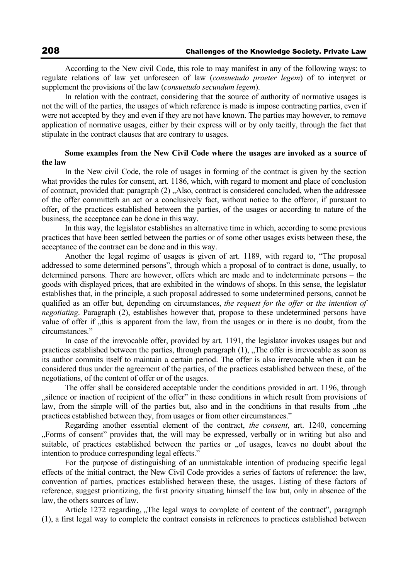According to the New civil Code, this role to may manifest in any of the following ways: to regulate relations of law yet unforeseen of law (*consuetudo praeter legem*) of to interpret or supplement the provisions of the law (*consuetudo secundum legem*).

In relation with the contract, considering that the source of authority of normative usages is not the will of the parties, the usages of which reference is made is impose contracting parties, even if were not accepted by they and even if they are not have known. The parties may however, to remove application of normative usages, either by their express will or by only tacitly, through the fact that stipulate in the contract clauses that are contrary to usages.

### **Some examples from the New Civil Code where the usages are invoked as a source of the law**

In the New civil Code, the role of usages in forming of the contract is given by the section what provides the rules for consent, art. 1186, which, with regard to moment and place of conclusion of contract, provided that: paragraph (2), Also, contract is considered concluded, when the addressee of the offer committeth an act or a conclusively fact, without notice to the offeror, if pursuant to offer, of the practices established between the parties, of the usages or according to nature of the business, the acceptance can be done in this way.

In this way, the legislator establishes an alternative time in which, according to some previous practices that have been settled between the parties or of some other usages exists between these, the acceptance of the contract can be done and in this way.

Another the legal regime of usages is given of art. 1189, with regard to, "The proposal addressed to some determined persons", through which a proposal of to contract is done, usually, to determined persons. There are however, offers which are made and to indeterminate persons – the goods with displayed prices, that are exhibited in the windows of shops. In this sense, the legislator establishes that, in the principle, a such proposal addressed to some undetermined persons, cannot be qualified as an offer but, depending on circumstances, *the request for the offer* or *the intention of negotiating*. Paragraph (2), establishes however that, propose to these undetermined persons have value of offer if  $\mu$ this is apparent from the law, from the usages or in there is no doubt, from the circumstances."

In case of the irrevocable offer, provided by art. 1191, the legislator invokes usages but and practices established between the parties, through paragraph  $(1)$ ,  $\Box$  The offer is irrevocable as soon as its author commits itself to maintain a certain period. The offer is also irrevocable when it can be considered thus under the agreement of the parties, of the practices established between these, of the negotiations, of the content of offer or of the usages.

The offer shall be considered acceptable under the conditions provided in art. 1196, through "silence or inaction of recipient of the offer" in these conditions in which result from provisions of law, from the simple will of the parties but, also and in the conditions in that results from "the practices established between they, from usages or from other circumstances."

Regarding another essential element of the contract, *the consent*, art. 1240, concerning "Forms of consent" provides that, the will may be expressed, verbally or in writing but also and suitable, of practices established between the parties or "of usages, leaves no doubt about the intention to produce corresponding legal effects."

For the purpose of distinguishing of an unmistakable intention of producing specific legal effects of the initial contract, the New Civil Code provides a series of factors of reference: the law, convention of parties, practices established between these, the usages. Listing of these factors of reference, suggest prioritizing, the first priority situating himself the law but, only in absence of the law, the others sources of law.

Article 1272 regarding, "The legal ways to complete of content of the contract", paragraph (1), a first legal way to complete the contract consists in references to practices established between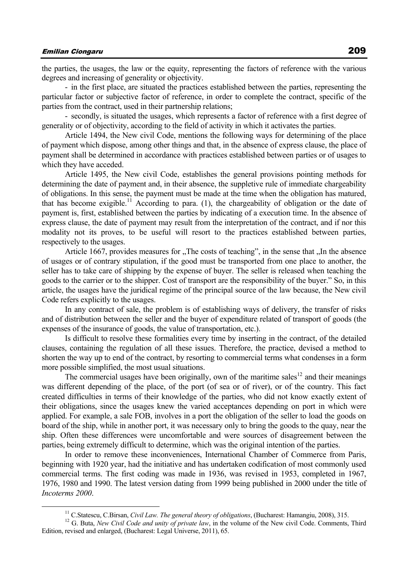the parties, the usages, the law or the equity, representing the factors of reference with the various degrees and increasing of generality or objectivity.

- in the first place, are situated the practices established between the parties, representing the particular factor or subjective factor of reference, in order to complete the contract, specific of the parties from the contract, used in their partnership relations;

- secondly, is situated the usages, which represents a factor of reference with a first degree of generality or of objectivity, according to the field of activity in which it activates the parties.

Article 1494, the New civil Code, mentions the following ways for determining of the place of payment which dispose, among other things and that, in the absence of express clause, the place of payment shall be determined in accordance with practices established between parties or of usages to which they have acceded.

Article 1495, the New civil Code, establishes the general provisions pointing methods for determining the date of payment and, in their absence, the suppletive rule of immediate chargeability of obligations. In this sense, the payment must be made at the time when the obligation has matured, that has become exigible.<sup>11</sup> According to para. (1), the chargeability of obligation or the date of payment is, first, established between the parties by indicating of a execution time. In the absence of express clause, the date of payment may result from the interpretation of the contract, and if nor this modality not its proves, to be useful will resort to the practices established between parties, respectively to the usages.

Article 1667, provides measures for  $n$ , The costs of teaching", in the sense that  $n$ . In the absence of usages or of contrary stipulation, if the good must be transported from one place to another, the seller has to take care of shipping by the expense of buyer. The seller is released when teaching the goods to the carrier or to the shipper. Cost of transport are the responsibility of the buyer." So, in this article, the usages have the juridical regime of the principal source of the law because, the New civil Code refers explicitly to the usages.

In any contract of sale, the problem is of establishing ways of delivery, the transfer of risks and of distribution between the seller and the buyer of expenditure related of transport of goods (the expenses of the insurance of goods, the value of transportation, etc.).

Is difficult to resolve these formalities every time by inserting in the contract, of the detailed clauses, containing the regulation of all these issues. Therefore, the practice, devised a method to shorten the way up to end of the contract, by resorting to commercial terms what condenses in a form more possible simplified, the most usual situations.

The commercial usages have been originally, own of the maritime sales<sup>12</sup> and their meanings was different depending of the place, of the port (of sea or of river), or of the country. This fact created difficulties in terms of their knowledge of the parties, who did not know exactly extent of their obligations, since the usages knew the varied acceptances depending on port in which were applied. For example, a sale FOB, involves in a port the obligation of the seller to load the goods on board of the ship, while in another port, it was necessary only to bring the goods to the quay, near the ship. Often these differences were uncomfortable and were sources of disagreement between the parties, being extremely difficult to determine, which was the original intention of the parties.

In order to remove these inconveniences, International Chamber of Commerce from Paris, beginning with 1920 year, had the initiative and has undertaken codification of most commonly used commercial terms. The first coding was made in 1936, was revised in 1953, completed in 1967, 1976, 1980 and 1990. The latest version dating from 1999 being published in 2000 under the title of *Incoterms 2000*.

<sup>&</sup>lt;sup>11</sup> C.Statescu, C.Birsan, *Civil Law. The general theory of obligations*, (Bucharest: Hamangiu, 2008), 315. <sup>12</sup> G. Buta, *New Civil Code and unity of private law*, in the volume of the New civil Code. Comments, Third Edition, revised and enlarged, (Bucharest: Legal Universe, 2011), 65.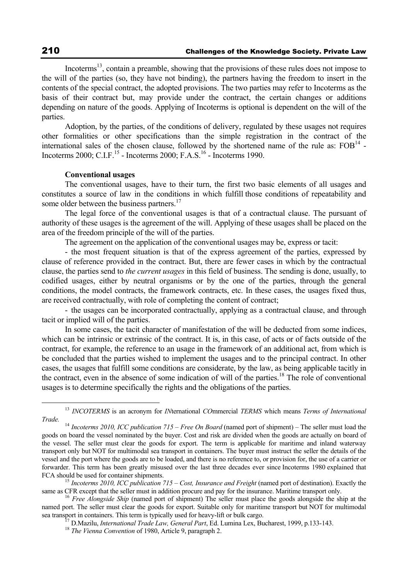Incoterms<sup>13</sup>, contain a preamble, showing that the provisions of these rules does not impose to the will of the parties (so, they have not binding), the partners having the freedom to insert in the contents of the special contract, the adopted provisions. The two parties may refer to Incoterms as the basis of their contract but, may provide under the contract, the certain changes or additions depending on nature of the goods. Applying of Incoterms is optional is dependent on the will of the parties.

Adoption, by the parties, of the conditions of delivery, regulated by these usages not requires other formalities or other specifications than the simple registration in the contract of the international sales of the chosen clause, followed by the shortened name of the rule as:  $FOB<sup>14</sup>$  -Incoterms 2000; C.I.F.<sup>15</sup> - Incoterms 2000; F.A.S.<sup>16</sup> - Incoterms 1990.

#### **Conventional usages**

The conventional usages, have to their turn, the first two basic elements of all usages and constitutes a source of law in the conditions in which fulfill those conditions of repeatability and some older between the business partners.<sup>17</sup>

The legal force of the conventional usages is that of a contractual clause. The pursuant of authority of these usages is the agreement of the will. Applying of these usages shall be placed on the area of the freedom principle of the will of the parties.

The agreement on the application of the conventional usages may be, express or tacit:

- the most frequent situation is that of the express agreement of the parties, expressed by clause of reference provided in the contract. But, there are fewer cases in which by the contractual clause, the parties send to *the current usages* in this field of business. The sending is done, usually, to codified usages, either by neutral organisms or by the one of the parties, through the general conditions, the model contracts, the framework contracts, etc. In these cases, the usages fixed thus, are received contractually, with role of completing the content of contract;

- the usages can be incorporated contractually, applying as a contractual clause, and through tacit or implied will of the parties.

In some cases, the tacit character of manifestation of the will be deducted from some indices, which can be intrinsic or extrinsic of the contract. It is, in this case, of acts or of facts outside of the contract, for example, the reference to an usage in the framework of an additional act, from which is be concluded that the parties wished to implement the usages and to the principal contract. In other cases, the usages that fulfill some conditions are considerate, by the law, as being applicable tacitly in the contract, even in the absence of some indication of will of the parties.<sup>18</sup> The role of conventional usages is to determine specifically the rights and the obligations of the parties.

 <sup>13</sup> *INCOTERMS* is an acronym for *IN*ternational *CO*mmercial *TERMS* which means *Terms of International* 

<sup>&</sup>lt;sup>14</sup> *Incoterms 2010, ICC publication 715 – Free On Board* (named port of shipment) – The seller must load the goods on board the vessel nominated by the buyer. Cost and risk are divided when the goods are actually on board of the vessel. The seller must clear the goods for export. The term is applicable for maritime and inland waterway transport only but NOT for multimodal sea transport in containers. The buyer must instruct the seller the details of the vessel and the port where the goods are to be loaded, and there is no reference to, or provision for, the use of a carrier or forwarder. This term has been greatly misused over the last three decades ever since Incoterms 1980 explained that

FCA should be used for container shipments.<br><sup>15</sup> *Incoterms 2010, ICC publication 715 – Cost, Insurance and Freight* (named port of destination). Exactly the same as CFR except that the seller must in addition procure and

<sup>&</sup>lt;sup>16</sup> *Free Alongside Ship* (named port of shipment) The seller must place the goods alongside the ship at the named port. The seller must clear the goods for export. Suitable only for maritime transport but NOT for multimodal sea transport in containers. This term is typically used for heavy-lift or bulk cargo.<br><sup>17</sup> D.Mazilu, *International Trade Law, General Part*, Ed. Lumina Lex, Bucharest, 1999, p.133-143.<br><sup>18</sup> *The Vienna Convention* of 198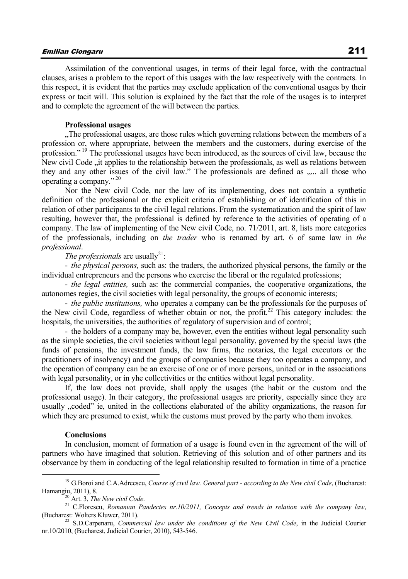# Emilian Ciongaru 211

Assimilation of the conventional usages, in terms of their legal force, with the contractual clauses, arises a problem to the report of this usages with the law respectively with the contracts. In this respect, it is evident that the parties may exclude application of the conventional usages by their express or tacit will. This solution is explained by the fact that the role of the usages is to interpret and to complete the agreement of the will between the parties.

#### **Professional usages**

"The professional usages, are those rules which governing relations between the members of a profession or, where appropriate, between the members and the customers, during exercise of the profession."<sup>19</sup> The professional usages have been introduced, as the sources of civil law, because the New civil Code , it applies to the relationship between the professionals, as well as relations between they and any other issues of the civil law." The professionals are defined as ..... all those who operating a company."<sup>20</sup>

Nor the New civil Code, nor the law of its implementing, does not contain a synthetic definition of the professional or the explicit criteria of establishing or of identification of this in relation of other participants to the civil legal relations. From the systematization and the spirit of law resulting, however that, the professional is defined by reference to the activities of operating of a company. The law of implementing of the New civil Code, no. 71/2011, art. 8, lists more categories of the professionals, including on *the trader* who is renamed by art. 6 of same law in *the professional*.

*The professionals* are usually<sup>21</sup>:

- *the physical persons,* such as: the traders, the authorized physical persons, the family or the individual entrepreneurs and the persons who exercise the liberal or the regulated professions;

- *the legal entities,* such as: the commercial companies, the cooperative organizations, the autonomes regies, the civil societies with legal personality, the groups of economic interests;

- *the public institutions,* who operates a company can be the professionals for the purposes of the New civil Code, regardless of whether obtain or not, the profit.<sup>22</sup> This category includes: the hospitals, the universities, the authorities of regulatory of supervision and of control;

- the holders of a company may be, however, even the entities without legal personality such as the simple societies, the civil societies without legal personality, governed by the special laws (the funds of pensions, the investment funds, the law firms, the notaries, the legal executors or the practitioners of insolvency) and the groups of companies because they too operates a company, and the operation of company can be an exercise of one or of more persons, united or in the associations with legal personality, or in yhe collectivities or the entities without legal personality.

If, the law does not provide, shall apply the usages (the habit or the custom and the professional usage). In their category, the professional usages are priority, especially since they are usually "coded" ie, united in the collections elaborated of the ability organizations, the reason for which they are presumed to exist, while the customs must proved by the party who them invokes.

#### **Conclusions**

In conclusion, moment of formation of a usage is found even in the agreement of the will of partners who have imagined that solution. Retrieving of this solution and of other partners and its observance by them in conducting of the legal relationship resulted to formation in time of a practice

<sup>&</sup>lt;sup>19</sup> G.Boroi and C.A.Adreescu, *Course of civil law. General part - according to the New civil Code*, (Bucharest:

Hamangiu, 2011), 8.<br><sup>20</sup> Art. 3, *The New civil Code.* <br><sup>21</sup> C.Florescu, *Romanian Pandectes nr.10/2011, Concepts and trends in relation with the company law,* (Bucharest: Wolters Kluwer, 2011). 22 S.D.Carpenaru, *Commercial law under the conditions of the New Civil Code*, in the Judicial Courier

nr.10/2010, (Bucharest, Judicial Courier, 2010), 543-546.